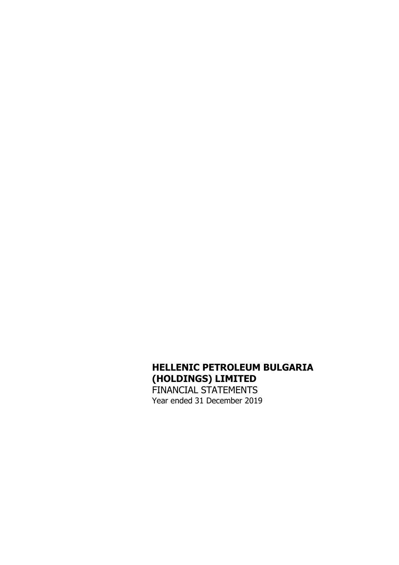## **HELLENIC PETROLEUM BULGARIA (HOLDINGS) LIMITED**  FINANCIAL STATEMENTS Year ended 31 December 2019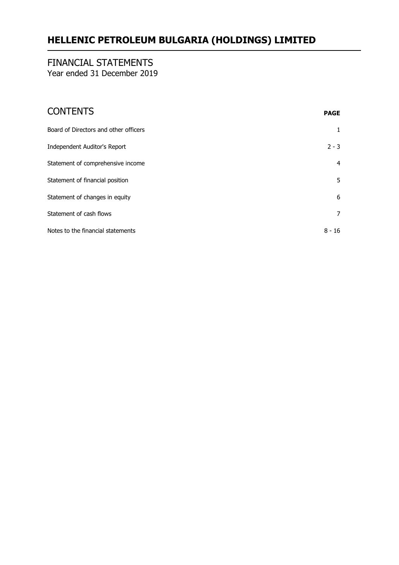## FINANCIAL STATEMENTS

Year ended 31 December 2019

## CONTENTS **PAGE**

| Board of Directors and other officers | 1              |
|---------------------------------------|----------------|
| <b>Independent Auditor's Report</b>   | $2 - 3$        |
| Statement of comprehensive income     | $\overline{4}$ |
| Statement of financial position       | 5              |
| Statement of changes in equity        | 6              |
| Statement of cash flows               | 7              |
| Notes to the financial statements     | $8 - 16$       |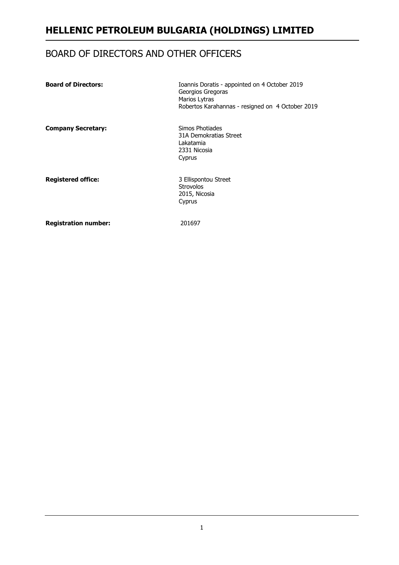## BOARD OF DIRECTORS AND OTHER OFFICERS

**Registration number:** 201697

| <b>Board of Directors:</b> | Ioannis Doratis - appointed on 4 October 2019<br>Georgios Gregoras<br>Marios Lytras<br>Robertos Karahannas - resigned on 4 October 2019 |
|----------------------------|-----------------------------------------------------------------------------------------------------------------------------------------|
| <b>Company Secretary:</b>  | Simos Photiades<br>31A Demokratias Street<br>Lakatamia<br>2331 Nicosia<br>Cyprus                                                        |
| <b>Registered office:</b>  | 3 Ellispontou Street<br><b>Strovolos</b><br>2015, Nicosia<br>Cyprus                                                                     |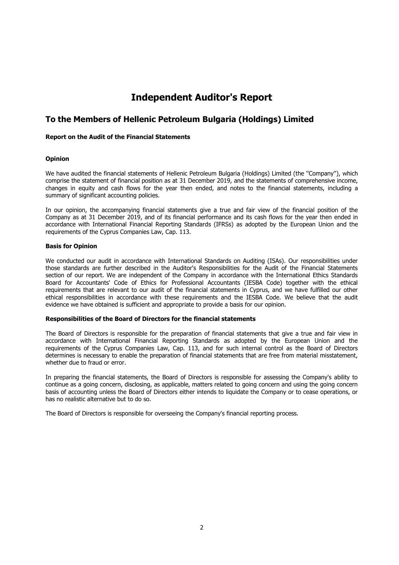## **Independent Auditor's Report**

### **To the Members of Hellenic Petroleum Bulgaria (Holdings) Limited**

### **Report on the Audit of the Financial Statements**

### **Opinion**

We have audited the financial statements of Hellenic Petroleum Bulgaria (Holdings) Limited (the ''Company''), which comprise the statement of financial position as at 31 December 2019, and the statements of comprehensive income, changes in equity and cash flows for the year then ended, and notes to the financial statements, including a summary of significant accounting policies.

In our opinion, the accompanying financial statements give a true and fair view of the financial position of the Company as at 31 December 2019, and of its financial performance and its cash flows for the year then ended in accordance with International Financial Reporting Standards (IFRSs) as adopted by the European Union and the requirements of the Cyprus Companies Law, Cap. 113.

### **Basis for Opinion**

We conducted our audit in accordance with International Standards on Auditing (ISAs). Our responsibilities under those standards are further described in the Auditor's Responsibilities for the Audit of the Financial Statements section of our report. We are independent of the Company in accordance with the International Ethics Standards Board for Accountants' Code of Ethics for Professional Accountants (IESBA Code) together with the ethical requirements that are relevant to our audit of the financial statements in Cyprus, and we have fulfilled our other ethical responsibilities in accordance with these requirements and the IESBA Code. We believe that the audit evidence we have obtained is sufficient and appropriate to provide a basis for our opinion.

### **Responsibilities of the Board of Directors for the financial statements**

The Board of Directors is responsible for the preparation of financial statements that give a true and fair view in accordance with International Financial Reporting Standards as adopted by the European Union and the requirements of the Cyprus Companies Law, Cap. 113, and for such internal control as the Board of Directors determines is necessary to enable the preparation of financial statements that are free from material misstatement, whether due to fraud or error.

In preparing the financial statements, the Board of Directors is responsible for assessing the Company's ability to continue as a going concern, disclosing, as applicable, matters related to going concern and using the going concern basis of accounting unless the Board of Directors either intends to liquidate the Company or to cease operations, or has no realistic alternative but to do so.

The Board of Directors is responsible for overseeing the Company's financial reporting process.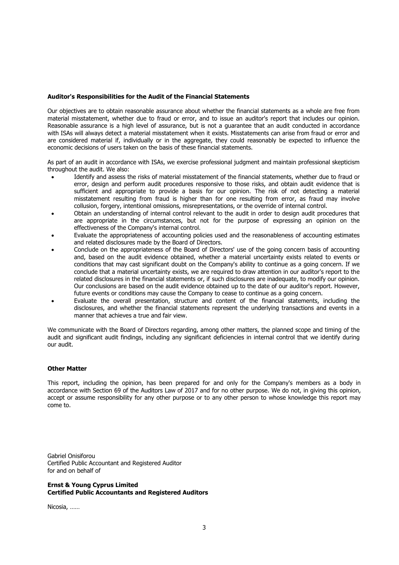#### **Auditor's Responsibilities for the Audit of the Financial Statements**

Our objectives are to obtain reasonable assurance about whether the financial statements as a whole are free from material misstatement, whether due to fraud or error, and to issue an auditor's report that includes our opinion. Reasonable assurance is a high level of assurance, but is not a guarantee that an audit conducted in accordance with ISAs will always detect a material misstatement when it exists. Misstatements can arise from fraud or error and are considered material if, individually or in the aggregate, they could reasonably be expected to influence the economic decisions of users taken on the basis of these financial statements.

As part of an audit in accordance with ISAs, we exercise professional judgment and maintain professional skepticism throughout the audit. We also:

- Identify and assess the risks of material misstatement of the financial statements, whether due to fraud or error, design and perform audit procedures responsive to those risks, and obtain audit evidence that is sufficient and appropriate to provide a basis for our opinion. The risk of not detecting a material misstatement resulting from fraud is higher than for one resulting from error, as fraud may involve collusion, forgery, intentional omissions, misrepresentations, or the override of internal control.
- Obtain an understanding of internal control relevant to the audit in order to design audit procedures that are appropriate in the circumstances, but not for the purpose of expressing an opinion on the effectiveness of the Company's internal control.
- Evaluate the appropriateness of accounting policies used and the reasonableness of accounting estimates and related disclosures made by the Board of Directors.
- Conclude on the appropriateness of the Board of Directors' use of the going concern basis of accounting and, based on the audit evidence obtained, whether a material uncertainty exists related to events or conditions that may cast significant doubt on the Company's ability to continue as a going concern. If we conclude that a material uncertainty exists, we are required to draw attention in our auditor's report to the related disclosures in the financial statements or, if such disclosures are inadequate, to modify our opinion. Our conclusions are based on the audit evidence obtained up to the date of our auditor's report. However, future events or conditions may cause the Company to cease to continue as a going concern.
- Evaluate the overall presentation, structure and content of the financial statements, including the disclosures, and whether the financial statements represent the underlying transactions and events in a manner that achieves a true and fair view.

We communicate with the Board of Directors regarding, among other matters, the planned scope and timing of the audit and significant audit findings, including any significant deficiencies in internal control that we identify during our audit.

#### **Other Matter**

This report, including the opinion, has been prepared for and only for the Company's members as a body in accordance with Section 69 of the Auditors Law of 2017 and for no other purpose. We do not, in giving this opinion, accept or assume responsibility for any other purpose or to any other person to whose knowledge this report may come to.

Gabriel Onisiforou Certified Public Accountant and Registered Auditor for and on behalf of

#### **Ernst & Young Cyprus Limited Certified Public Accountants and Registered Auditors**

Nicosia, ……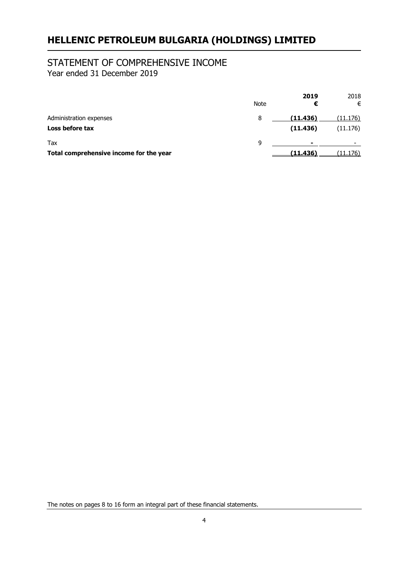# STATEMENT OF COMPREHENSIVE INCOME

Year ended 31 December 2019

|                                         |             | 2019     | 2018     |
|-----------------------------------------|-------------|----------|----------|
|                                         | <b>Note</b> | €        | €        |
| Administration expenses                 | 8           | (11.436) | (11.176) |
| Loss before tax                         |             | (11.436) | (11.176) |
| Tax                                     | 9           |          |          |
| Total comprehensive income for the year |             | (11.436) | (11.176  |
|                                         |             |          |          |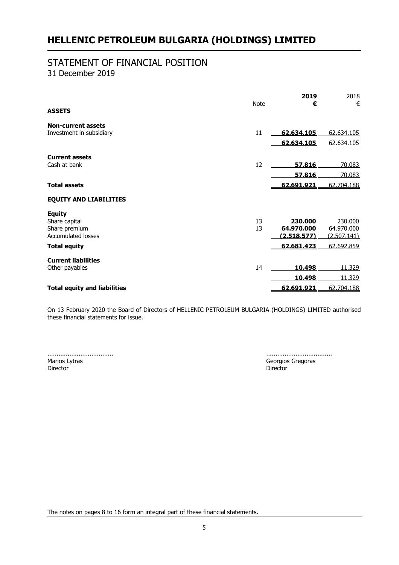## STATEMENT OF FINANCIAL POSITION

31 December 2019

|                                     |             | 2019        | 2018        |
|-------------------------------------|-------------|-------------|-------------|
|                                     | <b>Note</b> | €           | €           |
| <b>ASSETS</b>                       |             |             |             |
| <b>Non-current assets</b>           |             |             |             |
| Investment in subsidiary            | 11          | 62.634.105  | 62.634.105  |
|                                     |             | 62.634.105  | 62.634.105  |
| <b>Current assets</b>               |             |             |             |
| Cash at bank                        | 12          | 57.816      | 70.083      |
|                                     |             | 57.816      | 70.083      |
| <b>Total assets</b>                 |             | 62.691.921  | 62.704.188  |
| <b>EQUITY AND LIABILITIES</b>       |             |             |             |
| <b>Equity</b>                       |             |             |             |
| Share capital                       | 13          | 230.000     | 230.000     |
| Share premium                       | 13          | 64.970.000  | 64.970.000  |
| <b>Accumulated losses</b>           |             | (2.518.577) | (2.507.141) |
| <b>Total equity</b>                 |             | 62.681.423  | 62.692.859  |
| <b>Current liabilities</b>          |             |             |             |
| Other payables                      | 14          | 10.498      | 11.329      |
|                                     |             | 10.498      | 11.329      |
| <b>Total equity and liabilities</b> |             | 62.691.921  | 62.704.188  |

On 13 February 2020 the Board of Directors of HELLENIC PETROLEUM BULGARIA (HOLDINGS) LIMITED authorised these financial statements for issue.

Marios Lytras Georgios Gregoras Director Director

.................................... ....................................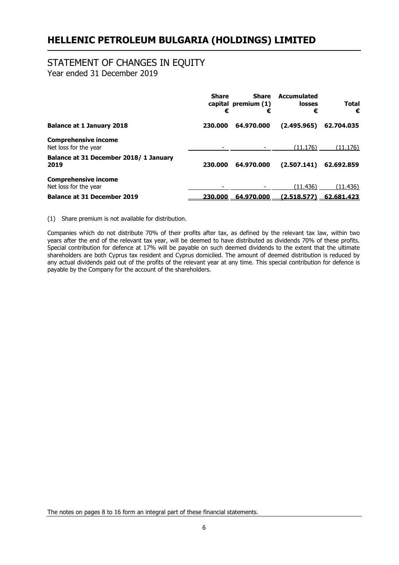## STATEMENT OF CHANGES IN EQUITY

Year ended 31 December 2019

|                                                      | <b>Share</b><br>€ | <b>Share</b><br>capital premium (1)<br>€ | <b>Accumulated</b><br>losses<br>€ | <b>Total</b><br>€ |
|------------------------------------------------------|-------------------|------------------------------------------|-----------------------------------|-------------------|
| <b>Balance at 1 January 2018</b>                     | 230.000           | 64.970.000                               | (2.495.965)                       | 62.704.035        |
| <b>Comprehensive income</b><br>Net loss for the year |                   |                                          | (11.176)                          | (11.176)          |
| Balance at 31 December 2018/1 January<br>2019        | 230.000           | 64.970.000                               | (2.507.141)                       | 62.692.859        |
| <b>Comprehensive income</b><br>Net loss for the year |                   |                                          | (11.436)                          | (11.436)          |
| <b>Balance at 31 December 2019</b>                   | 230.000           | 64.970.000                               | (2.518.577)                       | 62.681.423        |

(1) Share premium is not available for distribution.

Companies which do not distribute 70% of their profits after tax, as defined by the relevant tax law, within two years after the end of the relevant tax year, will be deemed to have distributed as dividends 70% of these profits. Special contribution for defence at 17% will be payable on such deemed dividends to the extent that the ultimate shareholders are both Cyprus tax resident and Cyprus domiciled. The amount of deemed distribution is reduced by any actual dividends paid out of the profits of the relevant year at any time. This special contribution for defence is payable by the Company for the account of the shareholders.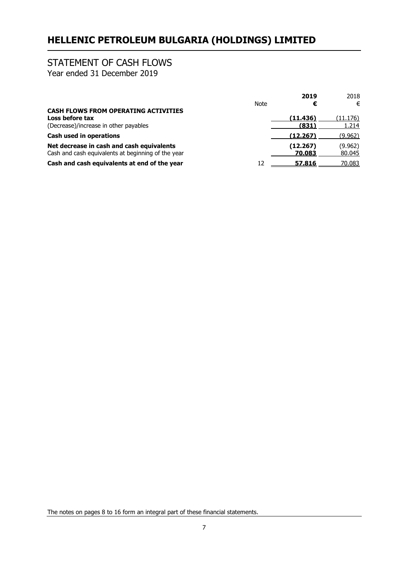# STATEMENT OF CASH FLOWS

Year ended 31 December 2019

| <b>CASH FLOWS FROM OPERATING ACTIVITIES</b>                                                     | <b>Note</b> | 2019<br>€          | 2018<br>€         |
|-------------------------------------------------------------------------------------------------|-------------|--------------------|-------------------|
| Loss before tax<br>(Decrease)/increase in other payables                                        |             | (11.436)<br>(831)  | (11.176)<br>1.214 |
| Cash used in operations                                                                         |             | (12.267)           | (9.962)           |
| Net decrease in cash and cash equivalents<br>Cash and cash equivalents at beginning of the year |             | (12.267)<br>70.083 | (9.962)<br>80.045 |
| Cash and cash equivalents at end of the year                                                    | 12          | 57.816             | 70.083            |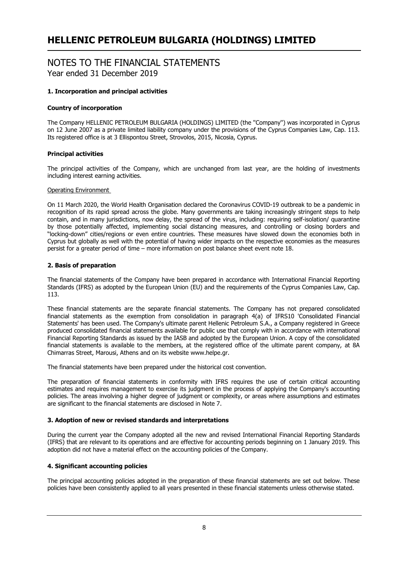### NOTES TO THE FINANCIAL STATEMENTS Year ended 31 December 2019

### **1. Incorporation and principal activities**

### **Country of incorporation**

The Company HELLENIC PETROLEUM BULGARIA (HOLDINGS) LIMITED (the ''Company'') was incorporated in Cyprus on 12 June 2007 as a private limited liability company under the provisions of the Cyprus Companies Law, Cap. 113. Its registered office is at 3 Ellispontou Street, Strovolos, 2015, Nicosia, Cyprus.

### **Principal activities**

The principal activities of the Company, which are unchanged from last year, are the holding of investments including interest earning activities.

### Operating Environment

On 11 March 2020, the World Health Organisation declared the Coronavirus COVID-19 outbreak to be a pandemic in recognition of its rapid spread across the globe. Many governments are taking increasingly stringent steps to help contain, and in many jurisdictions, now delay, the spread of the virus, including: requiring self-isolation/ quarantine by those potentially affected, implementing social distancing measures, and controlling or closing borders and "locking-down" cities/regions or even entire countries. These measures have slowed down the economies both in Cyprus but globally as well with the potential of having wider impacts on the respective economies as the measures persist for a greater period of time – more information on post balance sheet event note 18.

### **2. Basis of preparation**

The financial statements of the Company have been prepared in accordance with International Financial Reporting Standards (IFRS) as adopted by the European Union (EU) and the requirements of the Cyprus Companies Law, Cap. 113.

These financial statements are the separate financial statements. The Company has not prepared consolidated financial statements as the exemption from consolidation in paragraph 4(a) of IFRS10 'Consolidated Financial Statements' has been used. The Company's ultimate parent Hellenic Petroleum S.A., a Company registered in Greece produced consolidated financial statements available for public use that comply with in accordance with international Financial Reporting Standards as issued by the IASB and adopted by the European Union. A copy of the consolidated financial statements is available to the members, at the registered office of the ultimate parent company, at 8A Chimarras Street, Marousi, Athens and on its website www.helpe.gr.

The financial statements have been prepared under the historical cost convention.

The preparation of financial statements in conformity with IFRS requires the use of certain critical accounting estimates and requires management to exercise its judgment in the process of applying the Company's accounting policies. The areas involving a higher degree of judgment or complexity, or areas where assumptions and estimates are significant to the financial statements are disclosed in Note 7.

### **3. Adoption of new or revised standards and interpretations**

During the current year the Company adopted all the new and revised International Financial Reporting Standards (IFRS) that are relevant to its operations and are effective for accounting periods beginning on 1 January 2019. This adoption did not have a material effect on the accounting policies of the Company.

### **4. Significant accounting policies**

The principal accounting policies adopted in the preparation of these financial statements are set out below. These policies have been consistently applied to all years presented in these financial statements unless otherwise stated.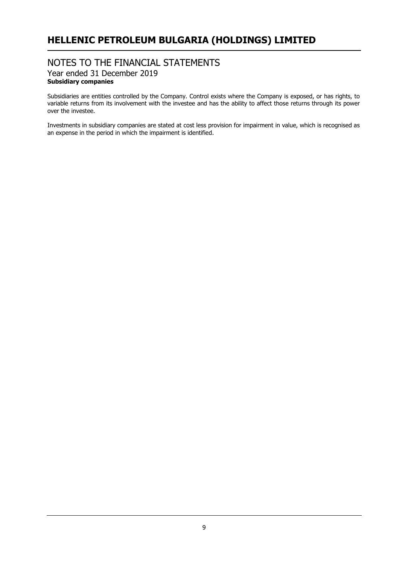### NOTES TO THE FINANCIAL STATEMENTS Year ended 31 December 2019 **Subsidiary companies**

Subsidiaries are entities controlled by the Company. Control exists where the Company is exposed, or has rights, to variable returns from its involvement with the investee and has the ability to affect those returns through its power over the investee.

Investments in subsidiary companies are stated at cost less provision for impairment in value, which is recognised as an expense in the period in which the impairment is identified.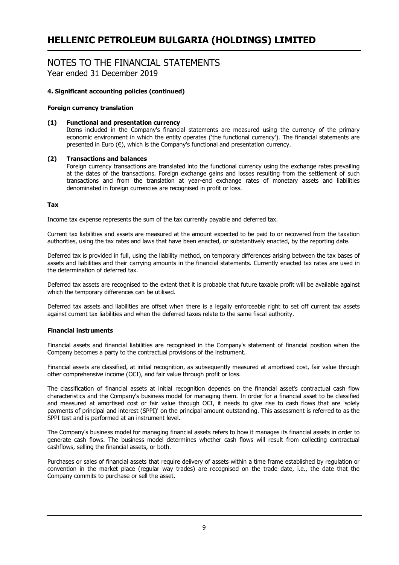### NOTES TO THE FINANCIAL STATEMENTS

Year ended 31 December 2019

### **4. Significant accounting policies (continued)**

### **Foreign currency translation**

### **(1) Functional and presentation currency**

Items included in the Company's financial statements are measured using the currency of the primary economic environment in which the entity operates ('the functional currency'). The financial statements are presented in Euro  $(\epsilon)$ , which is the Company's functional and presentation currency.

### **(2) Transactions and balances**

Foreign currency transactions are translated into the functional currency using the exchange rates prevailing at the dates of the transactions. Foreign exchange gains and losses resulting from the settlement of such transactions and from the translation at year-end exchange rates of monetary assets and liabilities denominated in foreign currencies are recognised in profit or loss.

### **Tax**

Income tax expense represents the sum of the tax currently payable and deferred tax.

Current tax liabilities and assets are measured at the amount expected to be paid to or recovered from the taxation authorities, using the tax rates and laws that have been enacted, or substantively enacted, by the reporting date.

Deferred tax is provided in full, using the liability method, on temporary differences arising between the tax bases of assets and liabilities and their carrying amounts in the financial statements. Currently enacted tax rates are used in the determination of deferred tax.

Deferred tax assets are recognised to the extent that it is probable that future taxable profit will be available against which the temporary differences can be utilised.

Deferred tax assets and liabilities are offset when there is a legally enforceable right to set off current tax assets against current tax liabilities and when the deferred taxes relate to the same fiscal authority.

### **Financial instruments**

Financial assets and financial liabilities are recognised in the Company's statement of financial position when the Company becomes a party to the contractual provisions of the instrument.

Financial assets are classified, at initial recognition, as subsequently measured at amortised cost, fair value through other comprehensive income (OCI), and fair value through profit or loss.

The classification of financial assets at initial recognition depends on the financial asset's contractual cash flow characteristics and the Company's business model for managing them. In order for a financial asset to be classified and measured at amortised cost or fair value through OCI, it needs to give rise to cash flows that are 'solely payments of principal and interest (SPPI)' on the principal amount outstanding. This assessment is referred to as the SPPI test and is performed at an instrument level.

The Company's business model for managing financial assets refers to how it manages its financial assets in order to generate cash flows. The business model determines whether cash flows will result from collecting contractual cashflows, selling the financial assets, or both.

Purchases or sales of financial assets that require delivery of assets within a time frame established by regulation or convention in the market place (regular way trades) are recognised on the trade date, i.e., the date that the Company commits to purchase or sell the asset.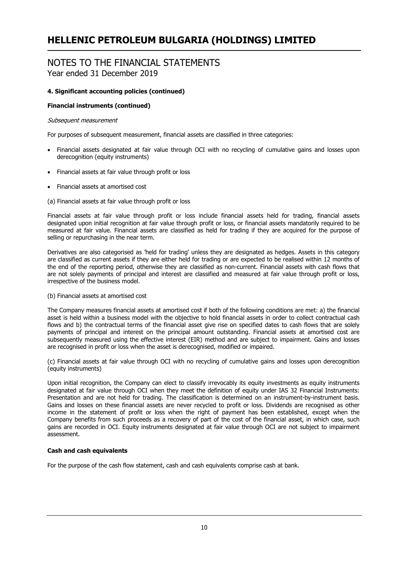# NOTES TO THE FINANCIAL STATEMENTS

Year ended 31 December 2019

### **4. Significant accounting policies (continued)**

### **Financial instruments (continued)**

### Subsequent measurement

For purposes of subsequent measurement, financial assets are classified in three categories:

- Financial assets designated at fair value through OCI with no recycling of cumulative gains and losses upon derecognition (equity instruments)
- Financial assets at fair value through profit or loss
- Financial assets at amortised cost
- (a) Financial assets at fair value through profit or loss

Financial assets at fair value through profit or loss include financial assets held for trading, financial assets designated upon initial recognition at fair value through profit or loss, or financial assets mandatorily required to be measured at fair value. Financial assets are classified as held for trading if they are acquired for the purpose of selling or repurchasing in the near term.

Derivatives are also categorised as 'held for trading' unless they are designated as hedges. Assets in this category are classified as current assets if they are either held for trading or are expected to be realised within 12 months of the end of the reporting period, otherwise they are classified as non-current. Financial assets with cash flows that are not solely payments of principal and interest are classified and measured at fair value through profit or loss, irrespective of the business model.

(b) Financial assets at amortised cost

The Company measures financial assets at amortised cost if both of the following conditions are met: a) the financial asset is held within a business model with the objective to hold financial assets in order to collect contractual cash flows and b) the contractual terms of the financial asset give rise on specified dates to cash flows that are solely payments of principal and interest on the principal amount outstanding. Financial assets at amortised cost are subsequently measured using the effective interest (EIR) method and are subject to impairment. Gains and losses are recognised in profit or loss when the asset is derecognised, modified or impaired.

(c) Financial assets at fair value through OCI with no recycling of cumulative gains and losses upon derecognition (equity instruments)

Upon initial recognition, the Company can elect to classify irrevocably its equity investments as equity instruments designated at fair value through OCI when they meet the definition of equity under IAS 32 Financial Instruments: Presentation and are not held for trading. The classification is determined on an instrument-by-instrument basis. Gains and losses on these financial assets are never recycled to profit or loss. Dividends are recognised as other income in the statement of profit or loss when the right of payment has been established, except when the Company benefits from such proceeds as a recovery of part of the cost of the financial asset, in which case, such gains are recorded in OCI. Equity instruments designated at fair value through OCI are not subject to impairment assessment.

### **Cash and cash equivalents**

For the purpose of the cash flow statement, cash and cash equivalents comprise cash at bank.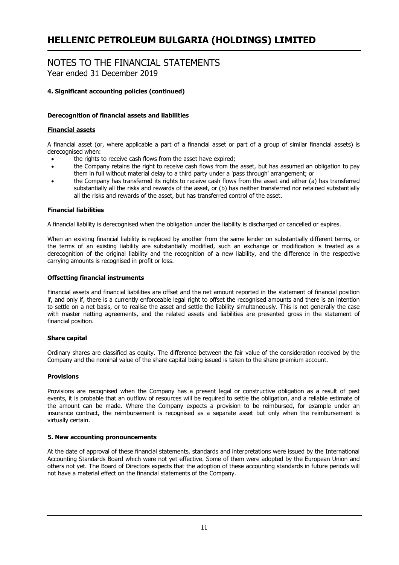# NOTES TO THE FINANCIAL STATEMENTS

Year ended 31 December 2019

### **4. Significant accounting policies (continued)**

### **Derecognition of financial assets and liabilities**

### **Financial assets**

A financial asset (or, where applicable a part of a financial asset or part of a group of similar financial assets) is derecognised when:

- the rights to receive cash flows from the asset have expired;
- the Company retains the right to receive cash flows from the asset, but has assumed an obligation to pay them in full without material delay to a third party under a 'pass through' arrangement; or
- the Company has transferred its rights to receive cash flows from the asset and either (a) has transferred substantially all the risks and rewards of the asset, or (b) has neither transferred nor retained substantially all the risks and rewards of the asset, but has transferred control of the asset.

### **Financial liabilities**

A financial liability is derecognised when the obligation under the liability is discharged or cancelled or expires.

When an existing financial liability is replaced by another from the same lender on substantially different terms, or the terms of an existing liability are substantially modified, such an exchange or modification is treated as a derecognition of the original liability and the recognition of a new liability, and the difference in the respective carrying amounts is recognised in profit or loss.

### **Offsetting financial instruments**

Financial assets and financial liabilities are offset and the net amount reported in the statement of financial position if, and only if, there is a currently enforceable legal right to offset the recognised amounts and there is an intention to settle on a net basis, or to realise the asset and settle the liability simultaneously. This is not generally the case with master netting agreements, and the related assets and liabilities are presented gross in the statement of financial position.

### **Share capital**

Ordinary shares are classified as equity. The difference between the fair value of the consideration received by the Company and the nominal value of the share capital being issued is taken to the share premium account.

### **Provisions**

Provisions are recognised when the Company has a present legal or constructive obligation as a result of past events, it is probable that an outflow of resources will be required to settle the obligation, and a reliable estimate of the amount can be made. Where the Company expects a provision to be reimbursed, for example under an insurance contract, the reimbursement is recognised as a separate asset but only when the reimbursement is virtually certain.

### **5. New accounting pronouncements**

At the date of approval of these financial statements, standards and interpretations were issued by the International Accounting Standards Board which were not yet effective. Some of them were adopted by the European Union and others not yet. The Board of Directors expects that the adoption of these accounting standards in future periods will not have a material effect on the financial statements of the Company.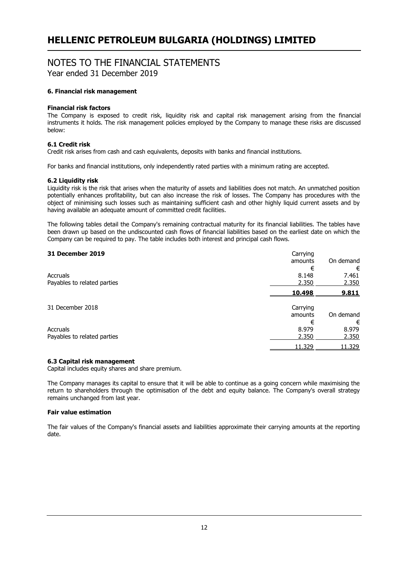### NOTES TO THE FINANCIAL STATEMENTS

Year ended 31 December 2019

### **6. Financial risk management**

### **Financial risk factors**

The Company is exposed to credit risk, liquidity risk and capital risk management arising from the financial instruments it holds. The risk management policies employed by the Company to manage these risks are discussed below:

### **6.1 Credit risk**

Credit risk arises from cash and cash equivalents, deposits with banks and financial institutions.

For banks and financial institutions, only independently rated parties with a minimum rating are accepted.

### **6.2 Liquidity risk**

Liquidity risk is the risk that arises when the maturity of assets and liabilities does not match. An unmatched position potentially enhances profitability, but can also increase the risk of losses. The Company has procedures with the object of minimising such losses such as maintaining sufficient cash and other highly liquid current assets and by having available an adequate amount of committed credit facilities.

The following tables detail the Company's remaining contractual maturity for its financial liabilities. The tables have been drawn up based on the undiscounted cash flows of financial liabilities based on the earliest date on which the Company can be required to pay. The table includes both interest and principal cash flows.

| 31 December 2019                        | Carrying<br>amounts<br>€ | On demand<br>€      |
|-----------------------------------------|--------------------------|---------------------|
| Accruals<br>Payables to related parties | 8.148<br>2.350           | 7.461<br>2.350      |
|                                         | <u>10.498</u>            | 9.811               |
| 31 December 2018                        | Carrying<br>amounts<br>€ | On demand           |
| Accruals<br>Payables to related parties | 8.979<br>2.350           | €<br>8.979<br>2.350 |
|                                         | 11.329                   | <u> 11.329 </u>     |

### **6.3 Capital risk management**

Capital includes equity shares and share premium.

The Company manages its capital to ensure that it will be able to continue as a going concern while maximising the return to shareholders through the optimisation of the debt and equity balance. The Company's overall strategy remains unchanged from last year.

### **Fair value estimation**

The fair values of the Company's financial assets and liabilities approximate their carrying amounts at the reporting date.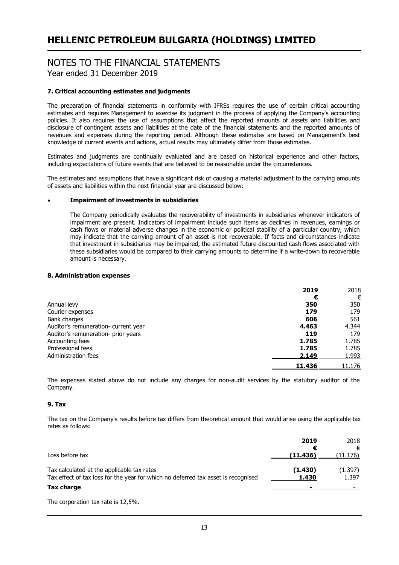### NOTES TO THE FINANCIAL STATEMENTS Year ended 31 December 2019

### **7. Critical accounting estimates and judgments**

The preparation of financial statements in conformity with IFRSs requires the use of certain critical accounting estimates and requires Management to exercise its judgment in the process of applying the Company's accounting policies. It also requires the use of assumptions that affect the reported amounts of assets and liabilities and disclosure of contingent assets and liabilities at the date of the financial statements and the reported amounts of revenues and expenses during the reporting period. Although these estimates are based on Management's best knowledge of current events and actions, actual results may ultimately differ from those estimates.

Estimates and judgments are continually evaluated and are based on historical experience and other factors, including expectations of future events that are believed to be reasonable under the circumstances.

The estimates and assumptions that have a significant risk of causing a material adjustment to the carrying amounts of assets and liabilities within the next financial year are discussed below:

#### **Impairment of investments in subsidiaries**

The Company periodically evaluates the recoverability of investments in subsidiaries whenever indicators of impairment are present. Indicators of impairment include such items as declines in revenues, earnings or cash flows or material adverse changes in the economic or political stability of a particular country, which may indicate that the carrying amount of an asset is not recoverable. If facts and circumstances indicate that investment in subsidiaries may be impaired, the estimated future discounted cash flows associated with these subsidiaries would be compared to their carrying amounts to determine if a write-down to recoverable amount is necessary.

#### **8. Administration expenses**

|                                      | 2019   | 2018   |
|--------------------------------------|--------|--------|
|                                      | €      | €      |
| Annual levy                          | 350    | 350    |
| Courier expenses                     | 179    | 179    |
| Bank charges                         | 606    | 561    |
| Auditor's remuneration- current year | 4.463  | 4.344  |
| Auditor's remuneration- prior years  | 119    | 179    |
| Accounting fees                      | 1.785  | 1.785  |
| Professional fees                    | 1.785  | 1.785  |
| Administration fees                  | 2.149  | 1.993  |
|                                      | 11.436 | .1.176 |

The expenses stated above do not include any charges for non-audit services by the statutory auditor of the Company.

### **9. Tax**

The tax on the Company's results before tax differs from theoretical amount that would arise using the applicable tax rates as follows:

|                                                                                                                                 | 2019             | 2018<br>€        |
|---------------------------------------------------------------------------------------------------------------------------------|------------------|------------------|
| Loss before tax                                                                                                                 | (11.436)         | (11.176)         |
| Tax calculated at the applicable tax rates<br>Tax effect of tax loss for the year for which no deferred tax asset is recognised | (1.430)<br>1.430 | (1.397)<br>1.397 |
| Tax charge                                                                                                                      |                  |                  |

The corporation tax rate is 12,5%.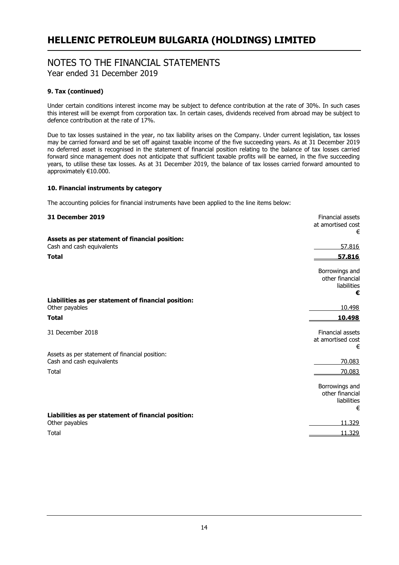### NOTES TO THE FINANCIAL STATEMENTS Year ended 31 December 2019

### **9. Tax (continued)**

Under certain conditions interest income may be subject to defence contribution at the rate of 30%. In such cases this interest will be exempt from corporation tax. In certain cases, dividends received from abroad may be subject to defence contribution at the rate of 17%.

Due to tax losses sustained in the year, no tax liability arises on the Company. Under current legislation, tax losses may be carried forward and be set off against taxable income of the five succeeding years. As at 31 December 2019 no deferred asset is recognised in the statement of financial position relating to the balance of tax losses carried forward since management does not anticipate that sufficient taxable profits will be earned, in the five succeeding years, to utilise these tax losses. As at 31 December 2019, the balance of tax losses carried forward amounted to approximately €10.000.

#### **10. Financial instruments by category**

The accounting policies for financial instruments have been applied to the line items below:

| 31 December 2019                                    | Financial assets                                      |
|-----------------------------------------------------|-------------------------------------------------------|
|                                                     | at amortised cost<br>€                                |
| Assets as per statement of financial position:      |                                                       |
| Cash and cash equivalents                           | 57.816                                                |
| <b>Total</b>                                        | 57,816                                                |
|                                                     | Borrowings and<br>other financial<br>liabilities<br>€ |
| Liabilities as per statement of financial position: |                                                       |
| Other payables                                      | 10.498                                                |
| <b>Total</b>                                        | 10.498                                                |
| 31 December 2018                                    | Financial assets<br>at amortised cost<br>€            |
| Assets as per statement of financial position:      |                                                       |
| Cash and cash equivalents                           | 70.083                                                |
| Total                                               | 70.083                                                |
|                                                     | Borrowings and<br>other financial<br>liabilities<br>€ |
| Liabilities as per statement of financial position: |                                                       |
| Other payables                                      | 11.329                                                |
| Total                                               | 11.329                                                |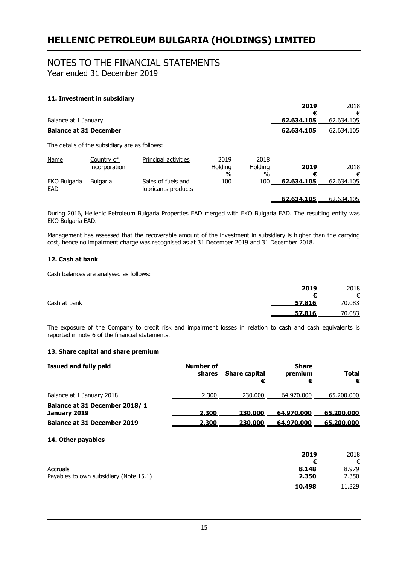# NOTES TO THE FINANCIAL STATEMENTS

Year ended 31 December 2019

### **11. Investment in subsidiary**

|                               |                                               |                      |                      |                      | 2019<br>€       | 2018<br>€       |
|-------------------------------|-----------------------------------------------|----------------------|----------------------|----------------------|-----------------|-----------------|
| Balance at 1 January          |                                               |                      |                      |                      | 62.634.105      | 62.634.105      |
| <b>Balance at 31 December</b> |                                               |                      |                      |                      | 62.634.105      | 62.634.105      |
|                               | The details of the subsidiary are as follows: |                      |                      |                      |                 |                 |
| <b>Name</b>                   | Country of<br>incorporation                   | Principal activities | 2019<br>Holding      | 2018<br>Holdina      | 2019            | 2018            |
| EKO Bulgaria                  | <b>Bulgaria</b>                               | Sales of fuels and   | $\frac{0}{0}$<br>100 | $\frac{0}{0}$<br>100 | €<br>62.634.105 | €<br>62.634.105 |
| EAD                           |                                               | lubricants products  |                      |                      |                 |                 |
|                               |                                               |                      |                      |                      | 62.634.105      | 62.634.105      |

During 2016, Hellenic Petroleum Bulgaria Properties EAD merged with EKO Bulgaria EAD. The resulting entity was EKO Bulgaria EAD.

Management has assessed that the recoverable amount of the investment in subsidiary is higher than the carrying cost, hence no impairment charge was recognised as at 31 December 2019 and 31 December 2018.

### **12. Cash at bank**

Cash balances are analysed as follows:

|              | 2019   | 2018   |
|--------------|--------|--------|
|              |        | €      |
| Cash at bank | 57.816 | 70.083 |
|              | 57.816 | 70.083 |

The exposure of the Company to credit risk and impairment losses in relation to cash and cash equivalents is reported in note 6 of the financial statements.

### **13. Share capital and share premium**

| <b>Issued and fully paid</b>                  | Number of<br>shares | <b>Share capital</b><br>€ | <b>Share</b><br>premium<br>€ | <b>Total</b><br>€ |
|-----------------------------------------------|---------------------|---------------------------|------------------------------|-------------------|
| Balance at 1 January 2018                     | 2.300               | 230,000                   | 64.970.000                   | 65.200.000        |
| Balance at 31 December 2018/1<br>January 2019 | 2.300               | 230,000                   | 64.970.000                   | 65,200,000        |
| <b>Balance at 31 December 2019</b>            | 2.300               | 230,000                   | 64.970.000                   | 65,200,000        |

### **14. Other payables**

|                                        | 2019   | 2018   |
|----------------------------------------|--------|--------|
|                                        | €      | €      |
| <b>Accruals</b>                        | 8.148  | 8.979  |
| Payables to own subsidiary (Note 15.1) | 2.350  | 2.350  |
|                                        | 10,498 | 11.329 |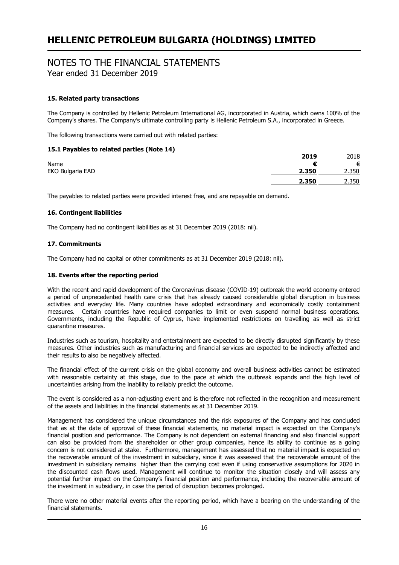### NOTES TO THE FINANCIAL STATEMENTS Year ended 31 December 2019

### **15. Related party transactions**

The Company is controlled by Hellenic Petroleum International AG, incorporated in Austria, which owns 100% of the Company's shares. The Company's ultimate controlling party is Hellenic Petroleum S.A., incorporated in Greece.

The following transactions were carried out with related parties:

### **15.1 Payables to related parties (Note 14)**

|                  | 2019  | 2018  |
|------------------|-------|-------|
| <b>Name</b>      |       | €     |
| EKO Bulgaria EAD | 2.350 | 2.350 |
|                  | 2.350 | 2.350 |

The payables to related parties were provided interest free, and are repayable on demand.

### **16. Contingent liabilities**

The Company had no contingent liabilities as at 31 December 2019 (2018: nil).

### **17. Commitments**

The Company had no capital or other commitments as at 31 December 2019 (2018: nil).

### **18. Events after the reporting period**

With the recent and rapid development of the Coronavirus disease (COVID-19) outbreak the world economy entered a period of unprecedented health care crisis that has already caused considerable global disruption in business activities and everyday life. Many countries have adopted extraordinary and economically costly containment measures. Certain countries have required companies to limit or even suspend normal business operations. Governments, including the Republic of Cyprus, have implemented restrictions on travelling as well as strict quarantine measures.

Industries such as tourism, hospitality and entertainment are expected to be directly disrupted significantly by these measures. Other industries such as manufacturing and financial services are expected to be indirectly affected and their results to also be negatively affected.

The financial effect of the current crisis on the global economy and overall business activities cannot be estimated with reasonable certainty at this stage, due to the pace at which the outbreak expands and the high level of uncertainties arising from the inability to reliably predict the outcome.

The event is considered as a non-adjusting event and is therefore not reflected in the recognition and measurement of the assets and liabilities in the financial statements as at 31 December 2019.

Management has considered the unique circumstances and the risk exposures of the Company and has concluded that as at the date of approval of these financial statements, no material impact is expected on the Company's financial position and performance. The Company is not dependent on external financing and also financial support can also be provided from the shareholder or other group companies, hence its ability to continue as a going concern is not considered at stake. Furthermore, management has assessed that no material impact is expected on the recoverable amount of the investment in subsidiary, since it was assessed that the recoverable amount of the investment in subsidiary remains higher than the carrying cost even if using conservative assumptions for 2020 in the discounted cash flows used. Management will continue to monitor the situation closely and will assess any potential further impact on the Company's financial position and performance, including the recoverable amount of the investment in subsidiary, in case the period of disruption becomes prolonged.

There were no other material events after the reporting period, which have a bearing on the understanding of the financial statements.